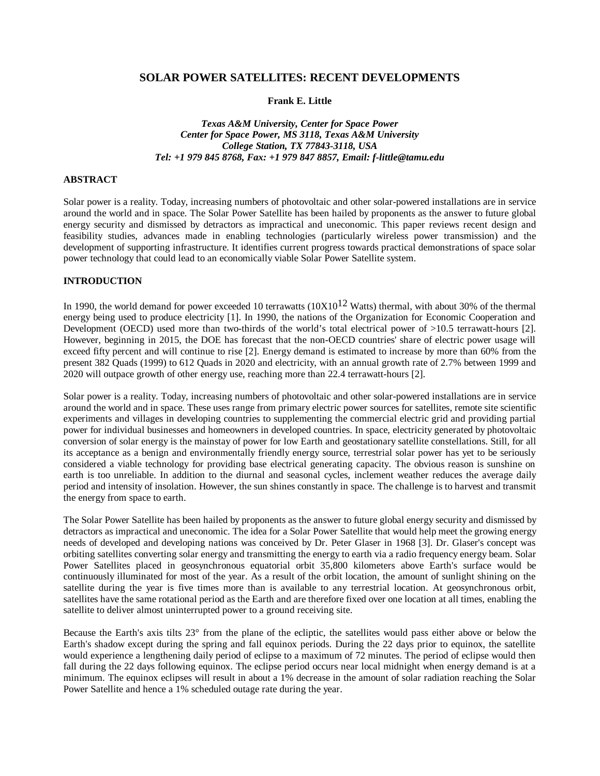# **SOLAR POWER SATELLITES: RECENT DEVELOPMENTS**

## **Frank E. Little**

*Texas A&M University, Center for Space Power Center for Space Power, MS 3118, Texas A&M University College Station, TX 77843-3118, USA Tel: +1 979 845 8768, Fax: +1 979 847 8857, Email: f-little@tamu.edu*

## **ABSTRACT**

Solar power is a reality. Today, increasing numbers of photovoltaic and other solar-powered installations are in service around the world and in space. The Solar Power Satellite has been hailed by proponents as the answer to future global energy security and dismissed by detractors as impractical and uneconomic. This paper reviews recent design and feasibility studies, advances made in enabling technologies (particularly wireless power transmission) and the development of supporting infrastructure. It identifies current progress towards practical demonstrations of space solar power technology that could lead to an economically viable Solar Power Satellite system.

# **INTRODUCTION**

In 1990, the world demand for power exceeded 10 terrawatts  $(10X10^{12}$  Watts) thermal, with about 30% of the thermal energy being used to produce electricity [1]. In 1990, the nations of the Organization for Economic Cooperation and Development (OECD) used more than two-thirds of the world's total electrical power of >10.5 terrawatt-hours [2]. However, beginning in 2015, the DOE has forecast that the non-OECD countries' share of electric power usage will exceed fifty percent and will continue to rise [2]. Energy demand is estimated to increase by more than 60% from the present 382 Quads (1999) to 612 Quads in 2020 and electricity, with an annual growth rate of 2.7% between 1999 and 2020 will outpace growth of other energy use, reaching more than 22.4 terrawatt-hours [2].

Solar power is a reality. Today, increasing numbers of photovoltaic and other solar-powered installations are in service around the world and in space. These uses range from primary electric power sources for satellites, remote site scientific experiments and villages in developing countries to supplementing the commercial electric grid and providing partial power for individual businesses and homeowners in developed countries. In space, electricity generated by photovoltaic conversion of solar energy is the mainstay of power for low Earth and geostationary satellite constellations. Still, for all its acceptance as a benign and environmentally friendly energy source, terrestrial solar power has yet to be seriously considered a viable technology for providing base electrical generating capacity. The obvious reason is sunshine on earth is too unreliable. In addition to the diurnal and seasonal cycles, inclement weather reduces the average daily period and intensity of insolation. However, the sun shines constantly in space. The challenge is to harvest and transmit the energy from space to earth.

The Solar Power Satellite has been hailed by proponents as the answer to future global energy security and dismissed by detractors as impractical and uneconomic. The idea for a Solar Power Satellite that would help meet the growing energy needs of developed and developing nations was conceived by Dr. Peter Glaser in 1968 [3]. Dr. Glaser's concept was orbiting satellites converting solar energy and transmitting the energy to earth via a radio frequency energy beam. Solar Power Satellites placed in geosynchronous equatorial orbit 35,800 kilometers above Earth's surface would be continuously illuminated for most of the year. As a result of the orbit location, the amount of sunlight shining on the satellite during the year is five times more than is available to any terrestrial location. At geosynchronous orbit, satellites have the same rotational period as the Earth and are therefore fixed over one location at all times, enabling the satellite to deliver almost uninterrupted power to a ground receiving site.

Because the Earth's axis tilts 23° from the plane of the ecliptic, the satellites would pass either above or below the Earth's shadow except during the spring and fall equinox periods. During the 22 days prior to equinox, the satellite would experience a lengthening daily period of eclipse to a maximum of 72 minutes. The period of eclipse would then fall during the 22 days following equinox. The eclipse period occurs near local midnight when energy demand is at a minimum. The equinox eclipses will result in about a 1% decrease in the amount of solar radiation reaching the Solar Power Satellite and hence a 1% scheduled outage rate during the year.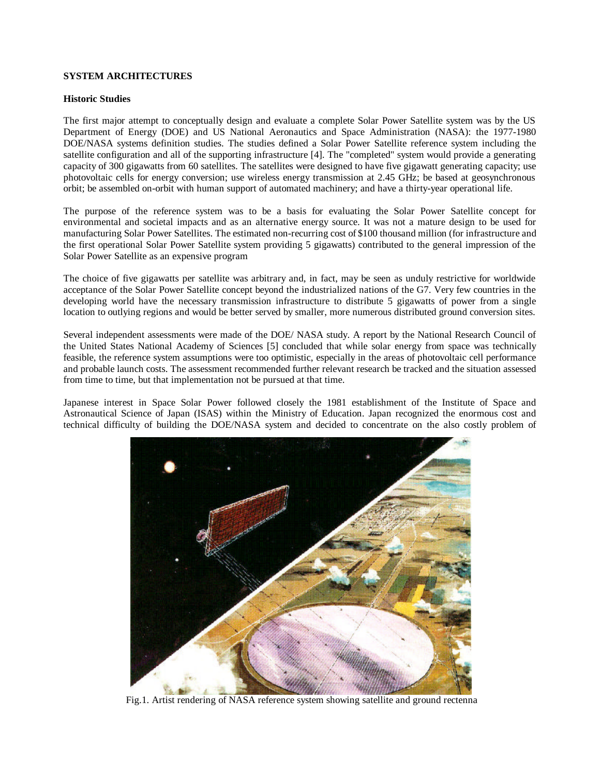# **SYSTEM ARCHITECTURES**

#### **Historic Studies**

The first major attempt to conceptually design and evaluate a complete Solar Power Satellite system was by the US Department of Energy (DOE) and US National Aeronautics and Space Administration (NASA): the 1977-1980 DOE/NASA systems definition studies. The studies defined a Solar Power Satellite reference system including the satellite configuration and all of the supporting infrastructure [4]. The "completed" system would provide a generating capacity of 300 gigawatts from 60 satellites. The satellites were designed to have five gigawatt generating capacity; use photovoltaic cells for energy conversion; use wireless energy transmission at 2.45 GHz; be based at geosynchronous orbit; be assembled on-orbit with human support of automated machinery; and have a thirty-year operational life.

The purpose of the reference system was to be a basis for evaluating the Solar Power Satellite concept for environmental and societal impacts and as an alternative energy source. It was not a mature design to be used for manufacturing Solar Power Satellites. The estimated non-recurring cost of \$100 thousand million (for infrastructure and the first operational Solar Power Satellite system providing 5 gigawatts) contributed to the general impression of the Solar Power Satellite as an expensive program

The choice of five gigawatts per satellite was arbitrary and, in fact, may be seen as unduly restrictive for worldwide acceptance of the Solar Power Satellite concept beyond the industrialized nations of the G7. Very few countries in the developing world have the necessary transmission infrastructure to distribute 5 gigawatts of power from a single location to outlying regions and would be better served by smaller, more numerous distributed ground conversion sites.

Several independent assessments were made of the DOE/ NASA study. A report by the National Research Council of the United States National Academy of Sciences [5] concluded that while solar energy from space was technically feasible, the reference system assumptions were too optimistic, especially in the areas of photovoltaic cell performance and probable launch costs. The assessment recommended further relevant research be tracked and the situation assessed from time to time, but that implementation not be pursued at that time.

Japanese interest in Space Solar Power followed closely the 1981 establishment of the Institute of Space and Astronautical Science of Japan (ISAS) within the Ministry of Education. Japan recognized the enormous cost and technical difficulty of building the DOE/NASA system and decided to concentrate on the also costly problem of



Fig.1. Artist rendering of NASA reference system showing satellite and ground rectenna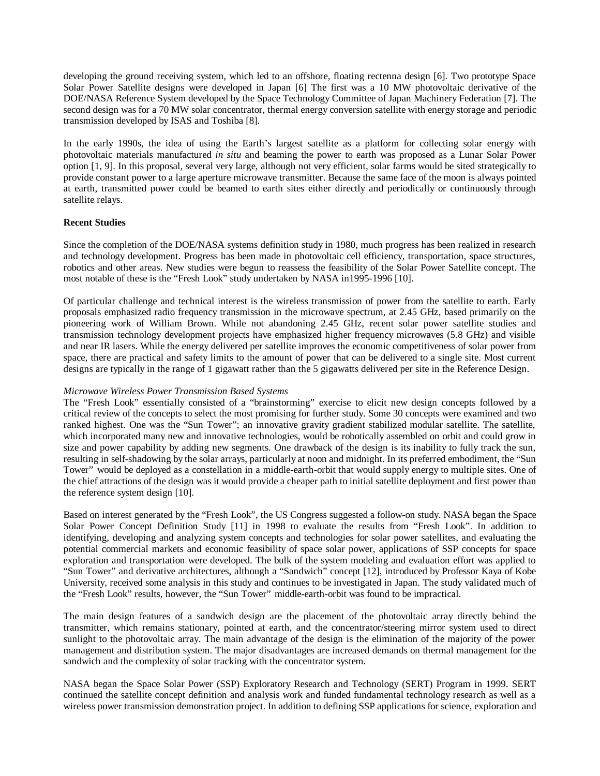developing the ground receiving system, which led to an offshore, floating rectenna design [6]. Two prototype Space Solar Power Satellite designs were developed in Japan [6] The first was a 10 MW photovoltaic derivative of the DOE/NASA Reference System developed by the Space Technology Committee of Japan Machinery Federation [7]. The second design was for a 70 MW solar concentrator, thermal energy conversion satellite with energy storage and periodic transmission developed by ISAS and Toshiba [8].

In the early 1990s, the idea of using the Earth's largest satellite as a platform for collecting solar energy with photovoltaic materials manufactured *in situ* and beaming the power to earth was proposed as a Lunar Solar Power option [1, 9]. In this proposal, several very large, although not very efficient, solar farms would be sited strategically to provide constant power to a large aperture microwave transmitter. Because the same face of the moon is always pointed at earth, transmitted power could be beamed to earth sites either directly and periodically or continuously through satellite relays.

### **Recent Studies**

Since the completion of the DOE/NASA systems definition study in 1980, much progress has been realized in research and technology development. Progress has been made in photovoltaic cell efficiency, transportation, space structures, robotics and other areas. New studies were begun to reassess the feasibility of the Solar Power Satellite concept. The most notable of these is the "Fresh Look" study undertaken by NASA in1995-1996 [10].

Of particular challenge and technical interest is the wireless transmission of power from the satellite to earth. Early proposals emphasized radio frequency transmission in the microwave spectrum, at 2.45 GHz, based primarily on the pioneering work of William Brown. While not abandoning 2.45 GHz, recent solar power satellite studies and transmission technology development projects have emphasized higher frequency microwaves (5.8 GHz) and visible and near IR lasers. While the energy delivered per satellite improves the economic competitiveness of solar power from space, there are practical and safety limits to the amount of power that can be delivered to a single site. Most current designs are typically in the range of 1 gigawatt rather than the 5 gigawatts delivered per site in the Reference Design.

## *Microwave Wireless Power Transmission Based Systems*

The "Fresh Look" essentially consisted of a "brainstorming" exercise to elicit new design concepts followed by a critical review of the concepts to select the most promising for further study. Some 30 concepts were examined and two ranked highest. One was the "Sun Tower"; an innovative gravity gradient stabilized modular satellite. The satellite, which incorporated many new and innovative technologies, would be robotically assembled on orbit and could grow in size and power capability by adding new segments. One drawback of the design is its inability to fully track the sun, resulting in self-shadowing by the solar arrays, particularly at noon and midnight. In its preferred embodiment, the "Sun Tower" would be deployed as a constellation in a middle-earth-orbit that would supply energy to multiple sites. One of the chief attractions of the design was it would provide a cheaper path to initial satellite deployment and first power than the reference system design [10].

Based on interest generated by the "Fresh Look", the US Congress suggested a follow-on study. NASA began the Space Solar Power Concept Definition Study [11] in 1998 to evaluate the results from "Fresh Look". In addition to identifying, developing and analyzing system concepts and technologies for solar power satellites, and evaluating the potential commercial markets and economic feasibility of space solar power, applications of SSP concepts for space exploration and transportation were developed. The bulk of the system modeling and evaluation effort was applied to "Sun Tower" and derivative architectures, although a "Sandwich" concept [12], introduced by Professor Kaya of Kobe University, received some analysis in this study and continues to be investigated in Japan. The study validated much of the "Fresh Look" results, however, the "Sun Tower" middle-earth-orbit was found to be impractical.

The main design features of a sandwich design are the placement of the photovoltaic array directly behind the transmitter, which remains stationary, pointed at earth, and the concentrator/steering mirror system used to direct sunlight to the photovoltaic array. The main advantage of the design is the elimination of the majority of the power management and distribution system. The major disadvantages are increased demands on thermal management for the sandwich and the complexity of solar tracking with the concentrator system.

NASA began the Space Solar Power (SSP) Exploratory Research and Technology (SERT) Program in 1999. SERT continued the satellite concept definition and analysis work and funded fundamental technology research as well as a wireless power transmission demonstration project. In addition to defining SSP applications for science, exploration and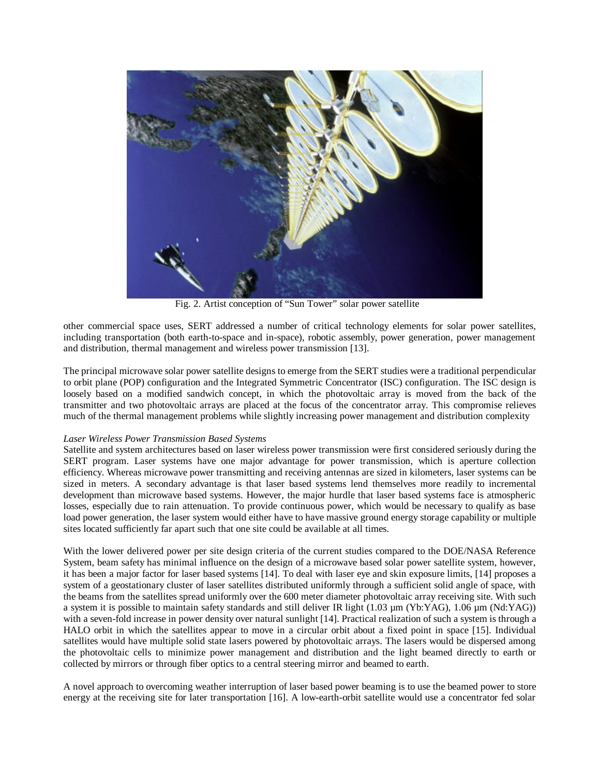

Fig. 2. Artist conception of "Sun Tower" solar power satellite

other commercial space uses, SERT addressed a number of critical technology elements for solar power satellites, including transportation (both earth-to-space and in-space), robotic assembly, power generation, power management and distribution, thermal management and wireless power transmission [13].

The principal microwave solar power satellite designs to emerge from the SERT studies were a traditional perpendicular to orbit plane (POP) configuration and the Integrated Symmetric Concentrator (ISC) configuration. The ISC design is loosely based on a modified sandwich concept, in which the photovoltaic array is moved from the back of the transmitter and two photovoltaic arrays are placed at the focus of the concentrator array. This compromise relieves much of the thermal management problems while slightly increasing power management and distribution complexity

### *Laser Wireless Power Transmission Based Systems*

Satellite and system architectures based on laser wireless power transmission were first considered seriously during the SERT program. Laser systems have one major advantage for power transmission, which is aperture collection efficiency. Whereas microwave power transmitting and receiving antennas are sized in kilometers, laser systems can be sized in meters. A secondary advantage is that laser based systems lend themselves more readily to incremental development than microwave based systems. However, the major hurdle that laser based systems face is atmospheric losses, especially due to rain attenuation. To provide continuous power, which would be necessary to qualify as base load power generation, the laser system would either have to have massive ground energy storage capability or multiple sites located sufficiently far apart such that one site could be available at all times.

With the lower delivered power per site design criteria of the current studies compared to the DOE/NASA Reference System, beam safety has minimal influence on the design of a microwave based solar power satellite system, however, it has been a major factor for laser based systems [14]. To deal with laser eye and skin exposure limits, [14] proposes a system of a geostationary cluster of laser satellites distributed uniformly through a sufficient solid angle of space, with the beams from the satellites spread uniformly over the 600 meter diameter photovoltaic array receiving site. With such a system it is possible to maintain safety standards and still deliver IR light (1.03 µm (Yb:YAG), 1.06 µm (Nd:YAG)) with a seven-fold increase in power density over natural sunlight [14]. Practical realization of such a system is through a HALO orbit in which the satellites appear to move in a circular orbit about a fixed point in space [15]. Individual satellites would have multiple solid state lasers powered by photovoltaic arrays. The lasers would be dispersed among the photovoltaic cells to minimize power management and distribution and the light beamed directly to earth or collected by mirrors or through fiber optics to a central steering mirror and beamed to earth.

A novel approach to overcoming weather interruption of laser based power beaming is to use the beamed power to store energy at the receiving site for later transportation [16]. A low-earth-orbit satellite would use a concentrator fed solar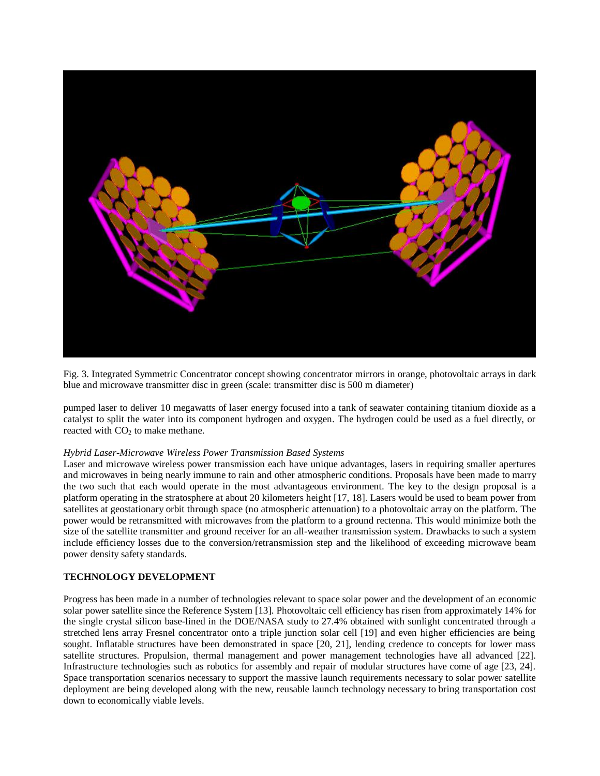

Fig. 3. Integrated Symmetric Concentrator concept showing concentrator mirrors in orange, photovoltaic arrays in dark blue and microwave transmitter disc in green (scale: transmitter disc is 500 m diameter)

pumped laser to deliver 10 megawatts of laser energy focused into a tank of seawater containing titanium dioxide as a catalyst to split the water into its component hydrogen and oxygen. The hydrogen could be used as a fuel directly, or reacted with  $CO<sub>2</sub>$  to make methane.

### *Hybrid Laser-Microwave Wireless Power Transmission Based Systems*

Laser and microwave wireless power transmission each have unique advantages, lasers in requiring smaller apertures and microwaves in being nearly immune to rain and other atmospheric conditions. Proposals have been made to marry the two such that each would operate in the most advantageous environment. The key to the design proposal is a platform operating in the stratosphere at about 20 kilometers height [17, 18]. Lasers would be used to beam power from satellites at geostationary orbit through space (no atmospheric attenuation) to a photovoltaic array on the platform. The power would be retransmitted with microwaves from the platform to a ground rectenna. This would minimize both the size of the satellite transmitter and ground receiver for an all-weather transmission system. Drawbacks to such a system include efficiency losses due to the conversion/retransmission step and the likelihood of exceeding microwave beam power density safety standards.

# **TECHNOLOGY DEVELOPMENT**

Progress has been made in a number of technologies relevant to space solar power and the development of an economic solar power satellite since the Reference System [13]. Photovoltaic cell efficiency has risen from approximately 14% for the single crystal silicon base-lined in the DOE/NASA study to 27.4% obtained with sunlight concentrated through a stretched lens array Fresnel concentrator onto a triple junction solar cell [19] and even higher efficiencies are being sought. Inflatable structures have been demonstrated in space [20, 21], lending credence to concepts for lower mass satellite structures. Propulsion, thermal management and power management technologies have all advanced [22]. Infrastructure technologies such as robotics for assembly and repair of modular structures have come of age [23, 24]. Space transportation scenarios necessary to support the massive launch requirements necessary to solar power satellite deployment are being developed along with the new, reusable launch technology necessary to bring transportation cost down to economically viable levels.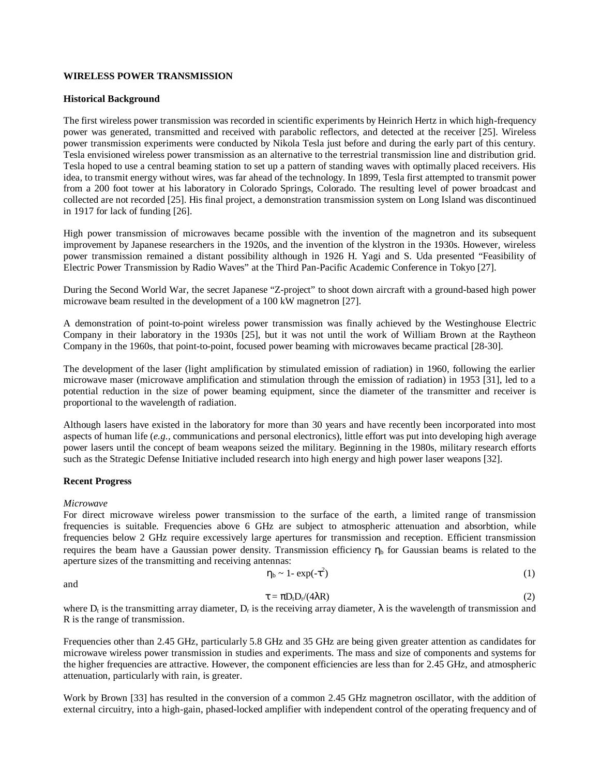## **WIRELESS POWER TRANSMISSION**

#### **Historical Background**

The first wireless power transmission was recorded in scientific experiments by Heinrich Hertz in which high-frequency power was generated, transmitted and received with parabolic reflectors, and detected at the receiver [25]. Wireless power transmission experiments were conducted by Nikola Tesla just before and during the early part of this century. Tesla envisioned wireless power transmission as an alternative to the terrestrial transmission line and distribution grid. Tesla hoped to use a central beaming station to set up a pattern of standing waves with optimally placed receivers. His idea, to transmit energy without wires, was far ahead of the technology. In 1899, Tesla first attempted to transmit power from a 200 foot tower at his laboratory in Colorado Springs, Colorado. The resulting level of power broadcast and collected are not recorded [25]. His final project, a demonstration transmission system on Long Island was discontinued in 1917 for lack of funding [26].

High power transmission of microwaves became possible with the invention of the magnetron and its subsequent improvement by Japanese researchers in the 1920s, and the invention of the klystron in the 1930s. However, wireless power transmission remained a distant possibility although in 1926 H. Yagi and S. Uda presented "Feasibility of Electric Power Transmission by Radio Waves" at the Third Pan-Pacific Academic Conference in Tokyo [27].

During the Second World War, the secret Japanese "Z-project" to shoot down aircraft with a ground-based high power microwave beam resulted in the development of a 100 kW magnetron [27].

A demonstration of point-to-point wireless power transmission was finally achieved by the Westinghouse Electric Company in their laboratory in the 1930s [25], but it was not until the work of William Brown at the Raytheon Company in the 1960s, that point-to-point, focused power beaming with microwaves became practical [28-30].

The development of the laser (light amplification by stimulated emission of radiation) in 1960, following the earlier microwave maser (microwave amplification and stimulation through the emission of radiation) in 1953 [31], led to a potential reduction in the size of power beaming equipment, since the diameter of the transmitter and receiver is proportional to the wavelength of radiation.

Although lasers have existed in the laboratory for more than 30 years and have recently been incorporated into most aspects of human life (*e.g.,* communications and personal electronics), little effort was put into developing high average power lasers until the concept of beam weapons seized the military. Beginning in the 1980s, military research efforts such as the Strategic Defense Initiative included research into high energy and high power laser weapons [32].

### **Recent Progress**

### *Microwave*

For direct microwave wireless power transmission to the surface of the earth, a limited range of transmission frequencies is suitable. Frequencies above 6 GHz are subject to atmospheric attenuation and absorbtion, while frequencies below 2 GHz require excessively large apertures for transmission and reception. Efficient transmission requires the beam have a Gaussian power density. Transmission efficiency  $\eta_b$  for Gaussian beams is related to the aperture sizes of the transmitting and receiving antennas:

$$
\eta_b \sim 1 - \exp(-\tau^2) \tag{1}
$$

and

$$
\tau = \pi D_t D_r / (4\lambda R) \tag{2}
$$

where  $D_t$  is the transmitting array diameter,  $D_r$  is the receiving array diameter,  $\lambda$  is the wavelength of transmission and R is the range of transmission.

Frequencies other than 2.45 GHz, particularly 5.8 GHz and 35 GHz are being given greater attention as candidates for microwave wireless power transmission in studies and experiments. The mass and size of components and systems for the higher frequencies are attractive. However, the component efficiencies are less than for 2.45 GHz, and atmospheric attenuation, particularly with rain, is greater.

Work by Brown [33] has resulted in the conversion of a common 2.45 GHz magnetron oscillator, with the addition of external circuitry, into a high-gain, phased-locked amplifier with independent control of the operating frequency and of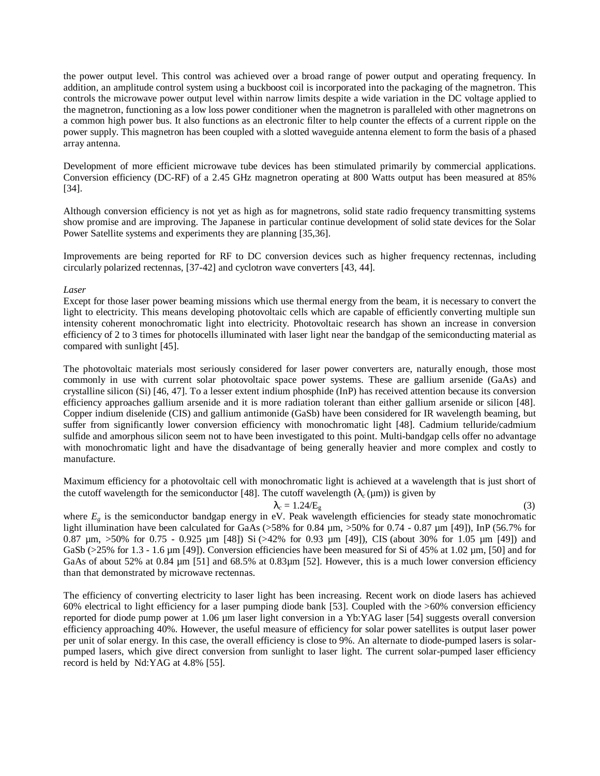the power output level. This control was achieved over a broad range of power output and operating frequency. In addition, an amplitude control system using a buckboost coil is incorporated into the packaging of the magnetron. This controls the microwave power output level within narrow limits despite a wide variation in the DC voltage applied to the magnetron, functioning as a low loss power conditioner when the magnetron is paralleled with other magnetrons on a common high power bus. It also functions as an electronic filter to help counter the effects of a current ripple on the power supply. This magnetron has been coupled with a slotted waveguide antenna element to form the basis of a phased array antenna.

Development of more efficient microwave tube devices has been stimulated primarily by commercial applications. Conversion efficiency (DC-RF) of a 2.45 GHz magnetron operating at 800 Watts output has been measured at 85% [34].

Although conversion efficiency is not yet as high as for magnetrons, solid state radio frequency transmitting systems show promise and are improving. The Japanese in particular continue development of solid state devices for the Solar Power Satellite systems and experiments they are planning [35,36].

Improvements are being reported for RF to DC conversion devices such as higher frequency rectennas, including circularly polarized rectennas, [37-42] and cyclotron wave converters [43, 44].

### *Laser*

Except for those laser power beaming missions which use thermal energy from the beam, it is necessary to convert the light to electricity. This means developing photovoltaic cells which are capable of efficiently converting multiple sun intensity coherent monochromatic light into electricity. Photovoltaic research has shown an increase in conversion efficiency of 2 to 3 times for photocells illuminated with laser light near the bandgap of the semiconducting material as compared with sunlight [45].

The photovoltaic materials most seriously considered for laser power converters are, naturally enough, those most commonly in use with current solar photovoltaic space power systems. These are gallium arsenide (GaAs) and crystalline silicon (Si) [46, 47]. To a lesser extent indium phosphide (InP) has received attention because its conversion efficiency approaches gallium arsenide and it is more radiation tolerant than either gallium arsenide or silicon [48]. Copper indium diselenide (CIS) and gallium antimonide (GaSb) have been considered for IR wavelength beaming, but suffer from significantly lower conversion efficiency with monochromatic light [48]. Cadmium telluride/cadmium sulfide and amorphous silicon seem not to have been investigated to this point. Multi-bandgap cells offer no advantage with monochromatic light and have the disadvantage of being generally heavier and more complex and costly to manufacture.

Maximum efficiency for a photovoltaic cell with monochromatic light is achieved at a wavelength that is just short of the cutoff wavelength for the semiconductor [48]. The cutoff wavelength  $(I_c(\mu m))$  is given by

 $l_c = 1.24/E_g$  (3)

where  $E_g$  is the semiconductor bandgap energy in eV. Peak wavelength efficiencies for steady state monochromatic light illumination have been calculated for GaAs ( $>58\%$  for 0.84  $\mu$ m,  $>50\%$  for 0.74 - 0.87  $\mu$ m [49]), InP (56.7% for 0.87 µm, >50% for 0.75 - 0.925 µm [48]) Si (>42% for 0.93 µm [49]), CIS (about 30% for 1.05 µm [49]) and GaSb ( $>25\%$  for 1.3 - 1.6 µm [49]). Conversion efficiencies have been measured for Si of 45% at 1.02 µm, [50] and for GaAs of about 52% at 0.84  $\mu$ m [51] and 68.5% at 0.83 $\mu$ m [52]. However, this is a much lower conversion efficiency than that demonstrated by microwave rectennas.

The efficiency of converting electricity to laser light has been increasing. Recent work on diode lasers has achieved 60% electrical to light efficiency for a laser pumping diode bank [53]. Coupled with the >60% conversion efficiency reported for diode pump power at 1.06 µm laser light conversion in a Yb:YAG laser [54] suggests overall conversion efficiency approaching 40%. However, the useful measure of efficiency for solar power satellites is output laser power per unit of solar energy. In this case, the overall efficiency is close to 9%. An alternate to diode-pumped lasers is solarpumped lasers, which give direct conversion from sunlight to laser light. The current solar-pumped laser efficiency record is held by Nd:YAG at 4.8% [55].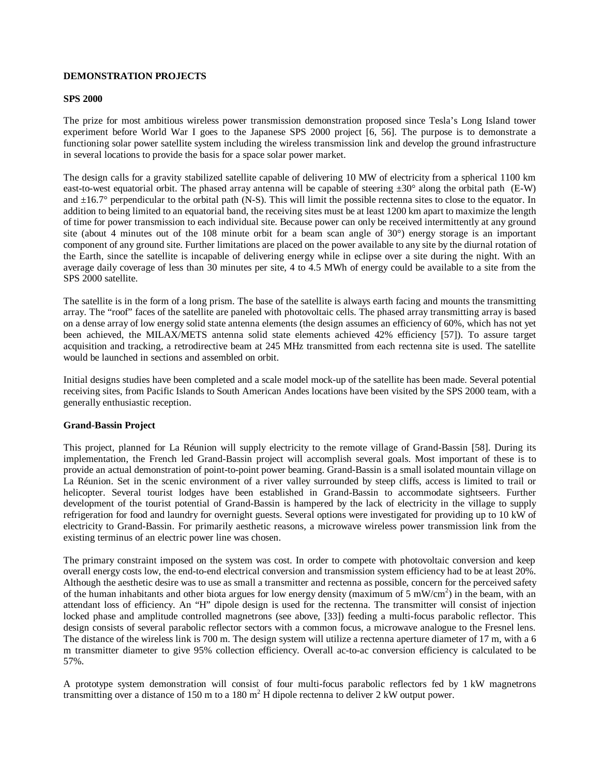# **DEMONSTRATION PROJECTS**

#### **SPS 2000**

The prize for most ambitious wireless power transmission demonstration proposed since Tesla's Long Island tower experiment before World War I goes to the Japanese SPS 2000 project [6, 56]. The purpose is to demonstrate a functioning solar power satellite system including the wireless transmission link and develop the ground infrastructure in several locations to provide the basis for a space solar power market.

The design calls for a gravity stabilized satellite capable of delivering 10 MW of electricity from a spherical 1100 km east-to-west equatorial orbit. The phased array antenna will be capable of steering  $\pm 30^\circ$  along the orbital path (E-W) and  $\pm 16.7^\circ$  perpendicular to the orbital path (N-S). This will limit the possible rectenna sites to close to the equator. In addition to being limited to an equatorial band, the receiving sites must be at least 1200 km apart to maximize the length of time for power transmission to each individual site. Because power can only be received intermittently at any ground site (about 4 minutes out of the 108 minute orbit for a beam scan angle of 30°) energy storage is an important component of any ground site. Further limitations are placed on the power available to any site by the diurnal rotation of the Earth, since the satellite is incapable of delivering energy while in eclipse over a site during the night. With an average daily coverage of less than 30 minutes per site, 4 to 4.5 MWh of energy could be available to a site from the SPS 2000 satellite.

The satellite is in the form of a long prism. The base of the satellite is always earth facing and mounts the transmitting array. The "roof" faces of the satellite are paneled with photovoltaic cells. The phased array transmitting array is based on a dense array of low energy solid state antenna elements (the design assumes an efficiency of 60%, which has not yet been achieved, the MILAX/METS antenna solid state elements achieved 42% efficiency [57]). To assure target acquisition and tracking, a retrodirective beam at 245 MHz transmitted from each rectenna site is used. The satellite would be launched in sections and assembled on orbit.

Initial designs studies have been completed and a scale model mock-up of the satellite has been made. Several potential receiving sites, from Pacific Islands to South American Andes locations have been visited by the SPS 2000 team, with a generally enthusiastic reception.

## **Grand-Bassin Project**

This project, planned for La Réunion will supply electricity to the remote village of Grand-Bassin [58]. During its implementation, the French led Grand-Bassin project will accomplish several goals. Most important of these is to provide an actual demonstration of point-to-point power beaming. Grand-Bassin is a small isolated mountain village on La Réunion. Set in the scenic environment of a river valley surrounded by steep cliffs, access is limited to trail or helicopter. Several tourist lodges have been established in Grand-Bassin to accommodate sightseers. Further development of the tourist potential of Grand-Bassin is hampered by the lack of electricity in the village to supply refrigeration for food and laundry for overnight guests. Several options were investigated for providing up to 10 kW of electricity to Grand-Bassin. For primarily aesthetic reasons, a microwave wireless power transmission link from the existing terminus of an electric power line was chosen.

The primary constraint imposed on the system was cost. In order to compete with photovoltaic conversion and keep overall energy costs low, the end-to-end electrical conversion and transmission system efficiency had to be at least 20%. Although the aesthetic desire was to use as small a transmitter and rectenna as possible, concern for the perceived safety of the human inhabitants and other biota argues for low energy density (maximum of 5 mW/cm<sup>2</sup>) in the beam, with an attendant loss of efficiency. An "H" dipole design is used for the rectenna. The transmitter will consist of injection locked phase and amplitude controlled magnetrons (see above, [33]) feeding a multi-focus parabolic reflector. This design consists of several parabolic reflector sectors with a common focus, a microwave analogue to the Fresnel lens. The distance of the wireless link is 700 m. The design system will utilize a rectenna aperture diameter of 17 m, with a 6 m transmitter diameter to give 95% collection efficiency. Overall ac-to-ac conversion efficiency is calculated to be 57%.

A prototype system demonstration will consist of four multi-focus parabolic reflectors fed by 1 kW magnetrons transmitting over a distance of 150 m to a 180  $m<sup>2</sup>$  H dipole rectenna to deliver 2 kW output power.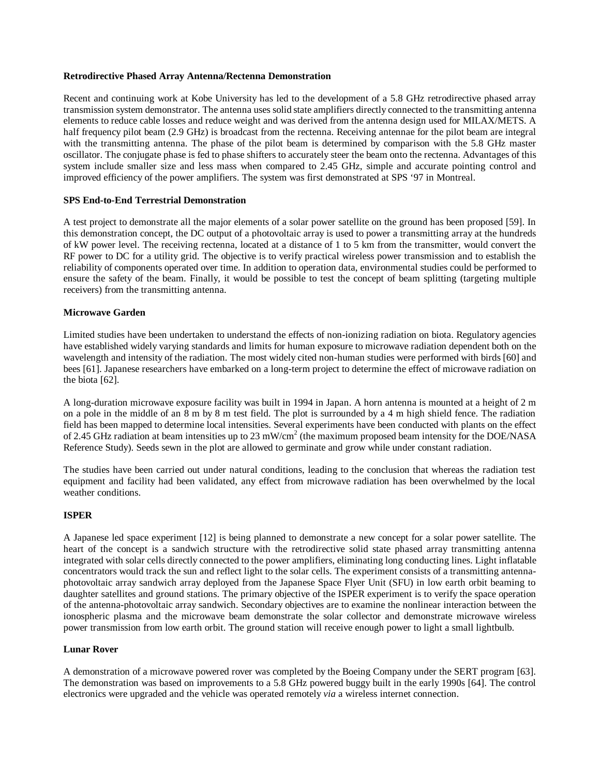## **Retrodirective Phased Array Antenna/Rectenna Demonstration**

Recent and continuing work at Kobe University has led to the development of a 5.8 GHz retrodirective phased array transmission system demonstrator. The antenna uses solid state amplifiers directly connected to the transmitting antenna elements to reduce cable losses and reduce weight and was derived from the antenna design used for MILAX/METS. A half frequency pilot beam (2.9 GHz) is broadcast from the rectenna. Receiving antennae for the pilot beam are integral with the transmitting antenna. The phase of the pilot beam is determined by comparison with the 5.8 GHz master oscillator. The conjugate phase is fed to phase shifters to accurately steer the beam onto the rectenna. Advantages of this system include smaller size and less mass when compared to 2.45 GHz, simple and accurate pointing control and improved efficiency of the power amplifiers. The system was first demonstrated at SPS '97 in Montreal.

## **SPS End-to-End Terrestrial Demonstration**

A test project to demonstrate all the major elements of a solar power satellite on the ground has been proposed [59]. In this demonstration concept, the DC output of a photovoltaic array is used to power a transmitting array at the hundreds of kW power level. The receiving rectenna, located at a distance of 1 to 5 km from the transmitter, would convert the RF power to DC for a utility grid. The objective is to verify practical wireless power transmission and to establish the reliability of components operated over time. In addition to operation data, environmental studies could be performed to ensure the safety of the beam. Finally, it would be possible to test the concept of beam splitting (targeting multiple receivers) from the transmitting antenna.

## **Microwave Garden**

Limited studies have been undertaken to understand the effects of non-ionizing radiation on biota. Regulatory agencies have established widely varying standards and limits for human exposure to microwave radiation dependent both on the wavelength and intensity of the radiation. The most widely cited non-human studies were performed with birds [60] and bees [61]. Japanese researchers have embarked on a long-term project to determine the effect of microwave radiation on the biota [62].

A long-duration microwave exposure facility was built in 1994 in Japan. A horn antenna is mounted at a height of 2 m on a pole in the middle of an 8 m by 8 m test field. The plot is surrounded by a 4 m high shield fence. The radiation field has been mapped to determine local intensities. Several experiments have been conducted with plants on the effect of 2.45 GHz radiation at beam intensities up to 23 mW/cm<sup>2</sup> (the maximum proposed beam intensity for the DOE/NASA Reference Study). Seeds sewn in the plot are allowed to germinate and grow while under constant radiation.

The studies have been carried out under natural conditions, leading to the conclusion that whereas the radiation test equipment and facility had been validated, any effect from microwave radiation has been overwhelmed by the local weather conditions.

### **ISPER**

A Japanese led space experiment [12] is being planned to demonstrate a new concept for a solar power satellite. The heart of the concept is a sandwich structure with the retrodirective solid state phased array transmitting antenna integrated with solar cells directly connected to the power amplifiers, eliminating long conducting lines. Light inflatable concentrators would track the sun and reflect light to the solar cells. The experiment consists of a transmitting antennaphotovoltaic array sandwich array deployed from the Japanese Space Flyer Unit (SFU) in low earth orbit beaming to daughter satellites and ground stations. The primary objective of the ISPER experiment is to verify the space operation of the antenna-photovoltaic array sandwich. Secondary objectives are to examine the nonlinear interaction between the ionospheric plasma and the microwave beam demonstrate the solar collector and demonstrate microwave wireless power transmission from low earth orbit. The ground station will receive enough power to light a small lightbulb.

### **Lunar Rover**

A demonstration of a microwave powered rover was completed by the Boeing Company under the SERT program [63]. The demonstration was based on improvements to a 5.8 GHz powered buggy built in the early 1990s [64]. The control electronics were upgraded and the vehicle was operated remotely *via* a wireless internet connection.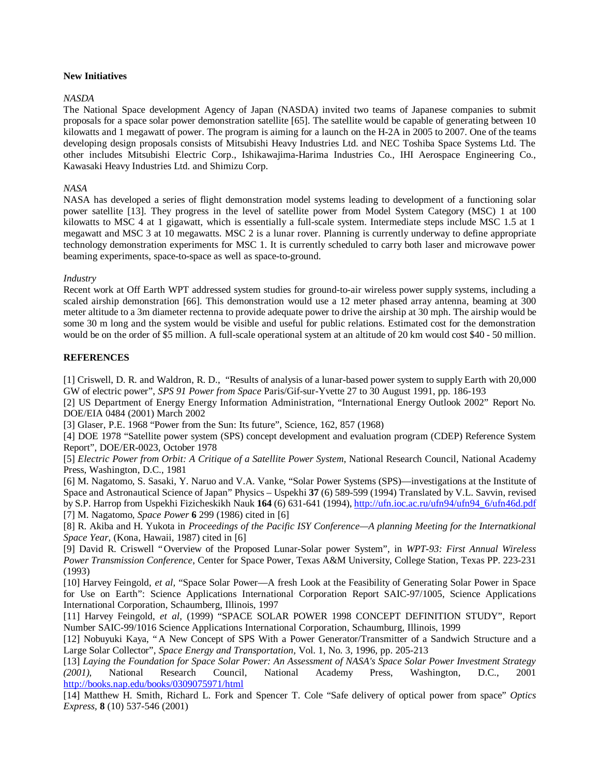## **New Initiatives**

## *NASDA*

The National Space development Agency of Japan (NASDA) invited two teams of Japanese companies to submit proposals for a space solar power demonstration satellite [65]. The satellite would be capable of generating between 10 kilowatts and 1 megawatt of power. The program is aiming for a launch on the H-2A in 2005 to 2007. One of the teams developing design proposals consists of Mitsubishi Heavy Industries Ltd. and NEC Toshiba Space Systems Ltd. The other includes Mitsubishi Electric Corp., Ishikawajima-Harima Industries Co., IHI Aerospace Engineering Co., Kawasaki Heavy Industries Ltd. and Shimizu Corp.

# *NASA*

NASA has developed a series of flight demonstration model systems leading to development of a functioning solar power satellite [13]. They progress in the level of satellite power from Model System Category (MSC) 1 at 100 kilowatts to MSC 4 at 1 gigawatt, which is essentially a full-scale system. Intermediate steps include MSC 1.5 at 1 megawatt and MSC 3 at 10 megawatts. MSC 2 is a lunar rover. Planning is currently underway to define appropriate technology demonstration experiments for MSC 1. It is currently scheduled to carry both laser and microwave power beaming experiments, space-to-space as well as space-to-ground.

### *Industry*

Recent work at Off Earth WPT addressed system studies for ground-to-air wireless power supply systems, including a scaled airship demonstration [66]. This demonstration would use a 12 meter phased array antenna, beaming at 300 meter altitude to a 3m diameter rectenna to provide adequate power to drive the airship at 30 mph. The airship would be some 30 m long and the system would be visible and useful for public relations. Estimated cost for the demonstration would be on the order of \$5 million. A full-scale operational system at an altitude of 20 km would cost \$40 - 50 million.

# **REFERENCES**

[1] Criswell, D. R. and Waldron, R. D., "Results of analysis of a lunar-based power system to supply Earth with 20,000 GW of electric power", *SPS 91 Power from Space* Paris/Gif-sur-Yvette 27 to 30 August 1991, pp. 186-193

[2] US Department of Energy Energy Information Administration, "International Energy Outlook 2002" Report No. DOE/EIA 0484 (2001) March 2002

[3] Glaser, P.E. 1968 "Power from the Sun: Its future", Science, 162, 857 (1968)

[4] DOE 1978 "Satellite power system (SPS) concept development and evaluation program (CDEP) Reference System Report", DOE/ER-0023, October 1978

[5] *Electric Power from Orbit: A Critique of a Satellite Power System*, National Research Council, National Academy Press, Washington, D.C., 1981

[6] M. Nagatomo, S. Sasaki, Y. Naruo and V.A. Vanke, "Solar Power Systems (SPS)— investigations at the Institute of Space and Astronautical Science of Japan" Physics – Uspekhi **37** (6) 589-599 (1994) Translated by V.L. Savvin, revised by S.P. Harrop from Uspekhi Fizicheskikh Nauk **164** (6) 631-641 (1994), http://ufn.ioc.ac.ru/ufn94/ufn94\_6/ufn46d.pdf [7] M. Nagatomo, *Space Power* **6** 299 (1986) cited in [6]

[8] R. Akiba and H. Yukota in *Proceedings of the Pacific ISY Conference— A planning Meeting for the Internatkional Space Year,* (Kona, Hawaii, 1987) cited in [6]

[9] David R. Criswell "Overview of the Proposed Lunar-Solar power System", in *WPT-93: First Annual Wireless Power Transmission Conference*, Center for Space Power, Texas A&M University, College Station, Texas PP. 223-231 (1993)

[10] Harvey Feingold, *et al,* "Space Solar Power— A fresh Look at the Feasibility of Generating Solar Power in Space for Use on Earth": Science Applications International Corporation Report SAIC-97/1005, Science Applications International Corporation, Schaumberg, Illinois, 1997

[11] Harvey Feingold, *et al,* (1999) "SPACE SOLAR POWER 1998 CONCEPT DEFINITION STUDY", Report Number SAIC-99/1016 Science Applications International Corporation, Schaumburg, Illinois, 1999

[12] Nobuyuki Kaya, "A New Concept of SPS With a Power Generator/Transmitter of a Sandwich Structure and a Large Solar Collector", *Space Energy and Transportation,* Vol. 1, No. 3, 1996, pp. 205-213

[13] *Laying the Foundation for Space Solar Power: An Assessment of NASA's Space Solar Power Investment Strategy (2001),* National Research Council, National Academy Press, Washington, D.C., 2001 http://books.nap.edu/books/0309075971/html

[14] Matthew H. Smith, Richard L. Fork and Spencer T. Cole "Safe delivery of optical power from space" *Optics Express,* **8** (10) 537-546 (2001)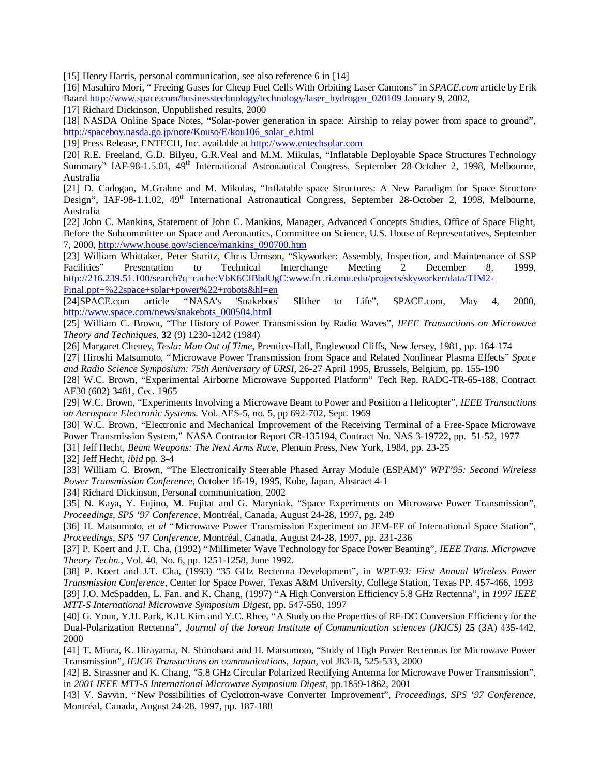[15] Henry Harris, personal communication, see also reference 6 in [14]

[16] Masahiro Mori, " Freeing Gases for Cheap Fuel Cells With Orbiting Laser Cannons" in *SPACE.com* article by Erik Baard http://www.space.com/businesstechnology/technology/laser\_hydrogen\_020109 January 9, 2002, [17] Richard Dickinson, Unpublished results, 2000

[18] NASDA Online Space Notes, "Solar-power generation in space: Airship to relay power from space to ground", http://spaceboy.nasda.go.jp/note/Kouso/E/kou106\_solar\_e.html

[19] Press Release, ENTECH, Inc. available at http://www.entechsolar.com

[20] R.E. Freeland, G.D. Bilyeu, G.R.Veal and M.M. Mikulas, "Inflatable Deployable Space Structures Technology Summary" IAF-98-1.5.01, 49<sup>th</sup> International Astronautical Congress, September 28-October 2, 1998, Melbourne, Australia

[21] D. Cadogan, M.Grahne and M. Mikulas, "Inflatable space Structures: A New Paradigm for Space Structure Design", IAF-98-1.1.02, 49<sup>th</sup> International Astronautical Congress, September 28-October 2, 1998, Melbourne, Australia

[22] John C. Mankins, Statement of John C. Mankins, Manager, Advanced Concepts Studies, Office of Space Flight, Before the Subcommittee on Space and Aeronautics, Committee on Science, U.S. House of Representatives, September 7, 2000, http://www.house.gov/science/mankins\_090700.htm

[23] William Whittaker, Peter Staritz, Chris Urmson, "Skyworker: Assembly, Inspection, and Maintenance of SSP Facilities" Presentation to Technical Interchange Meeting 2 December 8, 1999, http://216.239.51.100/search?q=cache:VbK6CIBbdUgC:www.frc.ri.cmu.edu/projects/skyworker/data/TIM2- Final.ppt+%22space+solar+power%22+robots&hl=en

[24]SPACE.com article "NASA's 'Snakebots' Slither to Life", SPACE.com, May 4, 2000, http://www.space.com/news/snakebots\_000504.html

[25] William C. Brown, "The History of Power Transmission by Radio Waves", *IEEE Transactions on Microwave Theory and Techniques*, **32** (9) 1230-1242 (1984)

[26] Margaret Cheney, *Tesla: Man Out of Time,* Prentice-Hall, Englewood Cliffs, New Jersey, 1981, pp. 164-174

[27] Hiroshi Matsumoto, "Microwave Power Transmission from Space and Related Nonlinear Plasma Effects" *Space and Radio Science Symposium: 75th Anniversary of URSI,* 26-27 April 1995, Brussels, Belgium, pp. 155-190

[28] W.C. Brown, "Experimental Airborne Microwave Supported Platform" Tech Rep. RADC-TR-65-188, Contract AF30 (602) 3481, Cec. 1965

[29] W.C. Brown, "Experiments Involving a Microwave Beam to Power and Position a Helicopter", *IEEE Transactions on Aerospace Electronic Systems.* Vol. AES-5, no. 5, pp 692-702, Sept. 1969

[30] W.C. Brown, "Electronic and Mechanical Improvement of the Receiving Terminal of a Free-Space Microwave Power Transmission System," NASA Contractor Report CR-135194, Contract No. NAS 3-19722, pp. 51-52, 1977

[31] Jeff Hecht, *Beam Weapons: The Next Arms Race,* Plenum Press, New York, 1984, pp. 23-25

[32] Jeff Hecht, *ibid* pp. 3-4

[33] William C. Brown, "The Electronically Steerable Phased Array Module (ESPAM)" *WPT'95: Second Wireless Power Transmission Conference,* October 16-19, 1995, Kobe, Japan, Abstract 4-1

[34] Richard Dickinson, Personal communication, 2002

[35] N. Kaya, Y. Fujino, M. Fujitat and G. Maryniak, "Space Experiments on Microwave Power Transmission", *Proceedings, SPS '97 Conference,* Montréal, Canada, August 24-28, 1997, pg. 249

[36] H. Matsumoto, *et al* "Microwave Power Transmission Experiment on JEM-EF of International Space Station", *Proceedings, SPS '97 Conference,* Montréal, Canada, August 24-28, 1997, pp. 231-236

[37] P. Koert and J.T. Cha, (1992) "Millimeter Wave Technology for Space Power Beaming", *IEEE Trans. Microwave Theory Techn.*, Vol. 40, No. 6, pp. 1251-1258, June 1992.

[38] P. Koert and J.T. Cha, (1993) "35 GHz Rectenna Development", in *WPT-93: First Annual Wireless Power Transmission Conference*, Center for Space Power, Texas A&M University, College Station, Texas PP. 457-466, 1993 [39] J.O. McSpadden, L. Fan. and K. Chang, (1997) "A High Conversion Efficiency 5.8 GHz Rectenna", in *1997 IEEE MTT-S International Microwave Symposium Digest,* pp. 547-550, 1997

[40] G. Youn, Y.H. Park, K.H. Kim and Y.C. Rhee, "A Study on the Properties of RF-DC Conversion Efficiency for the Dual-Polarization Rectenna", *Journal of the Iorean Institute of Communication sciences (JKICS)* **25** (3A) 435-442, 2000

[41] T. Miura, K. Hirayama, N. Shinohara and H. Matsumoto, "Study of High Power Rectennas for Microwave Power Transmission", *IEICE Transactions on communications, Japan,* vol J83-B, 525-533, 2000

[42] B. Strassner and K. Chang, "5.8 GHz Circular Polarized Rectifying Antenna for Microwave Power Transmission", in *2001 IEEE MTT-S International Microwave Symposium Digest,* pp.1859-1862, 2001

[43] V. Savvin, "New Possibilities of Cyclotron-wave Converter Improvement", *Proceedings, SPS '97 Conference,* Montréal, Canada, August 24-28, 1997, pp. 187-188